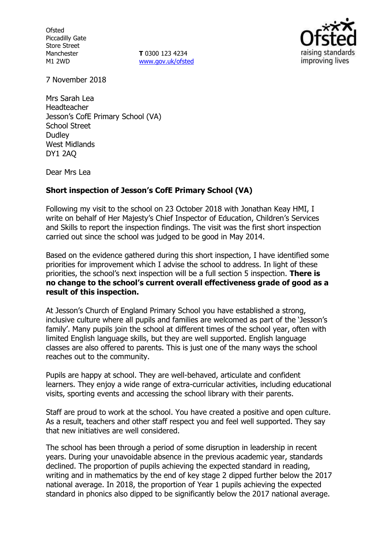**Ofsted** Piccadilly Gate Store Street Manchester M1 2WD

**T** 0300 123 4234 www.gov.uk/ofsted



7 November 2018

Mrs Sarah Lea Headteacher Jesson's CofE Primary School (VA) School Street **Dudley** West Midlands DY1 2AQ

Dear Mrs Lea

## **Short inspection of Jesson's CofE Primary School (VA)**

Following my visit to the school on 23 October 2018 with Jonathan Keay HMI, I write on behalf of Her Majesty's Chief Inspector of Education, Children's Services and Skills to report the inspection findings. The visit was the first short inspection carried out since the school was judged to be good in May 2014.

Based on the evidence gathered during this short inspection, I have identified some priorities for improvement which I advise the school to address. In light of these priorities, the school's next inspection will be a full section 5 inspection. **There is no change to the school's current overall effectiveness grade of good as a result of this inspection.**

At Jesson's Church of England Primary School you have established a strong, inclusive culture where all pupils and families are welcomed as part of the 'Jesson's family'. Many pupils join the school at different times of the school year, often with limited English language skills, but they are well supported. English language classes are also offered to parents. This is just one of the many ways the school reaches out to the community.

Pupils are happy at school. They are well-behaved, articulate and confident learners. They enjoy a wide range of extra-curricular activities, including educational visits, sporting events and accessing the school library with their parents.

Staff are proud to work at the school. You have created a positive and open culture. As a result, teachers and other staff respect you and feel well supported. They say that new initiatives are well considered.

The school has been through a period of some disruption in leadership in recent years. During your unavoidable absence in the previous academic year, standards declined. The proportion of pupils achieving the expected standard in reading, writing and in mathematics by the end of key stage 2 dipped further below the 2017 national average. In 2018, the proportion of Year 1 pupils achieving the expected standard in phonics also dipped to be significantly below the 2017 national average.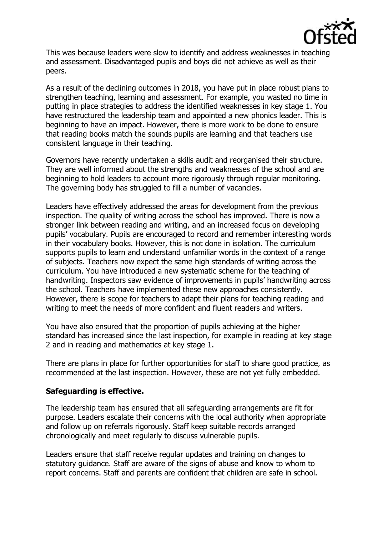

This was because leaders were slow to identify and address weaknesses in teaching and assessment. Disadvantaged pupils and boys did not achieve as well as their peers.

As a result of the declining outcomes in 2018, you have put in place robust plans to strengthen teaching, learning and assessment. For example, you wasted no time in putting in place strategies to address the identified weaknesses in key stage 1. You have restructured the leadership team and appointed a new phonics leader. This is beginning to have an impact. However, there is more work to be done to ensure that reading books match the sounds pupils are learning and that teachers use consistent language in their teaching.

Governors have recently undertaken a skills audit and reorganised their structure. They are well informed about the strengths and weaknesses of the school and are beginning to hold leaders to account more rigorously through regular monitoring. The governing body has struggled to fill a number of vacancies.

Leaders have effectively addressed the areas for development from the previous inspection. The quality of writing across the school has improved. There is now a stronger link between reading and writing, and an increased focus on developing pupils' vocabulary. Pupils are encouraged to record and remember interesting words in their vocabulary books. However, this is not done in isolation. The curriculum supports pupils to learn and understand unfamiliar words in the context of a range of subjects. Teachers now expect the same high standards of writing across the curriculum. You have introduced a new systematic scheme for the teaching of handwriting. Inspectors saw evidence of improvements in pupils' handwriting across the school. Teachers have implemented these new approaches consistently. However, there is scope for teachers to adapt their plans for teaching reading and writing to meet the needs of more confident and fluent readers and writers.

You have also ensured that the proportion of pupils achieving at the higher standard has increased since the last inspection, for example in reading at key stage 2 and in reading and mathematics at key stage 1.

There are plans in place for further opportunities for staff to share good practice, as recommended at the last inspection. However, these are not yet fully embedded.

### **Safeguarding is effective.**

The leadership team has ensured that all safeguarding arrangements are fit for purpose. Leaders escalate their concerns with the local authority when appropriate and follow up on referrals rigorously. Staff keep suitable records arranged chronologically and meet regularly to discuss vulnerable pupils.

Leaders ensure that staff receive regular updates and training on changes to statutory guidance. Staff are aware of the signs of abuse and know to whom to report concerns. Staff and parents are confident that children are safe in school.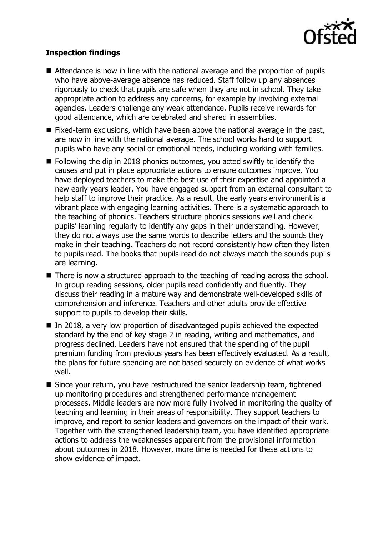

# **Inspection findings**

- Attendance is now in line with the national average and the proportion of pupils who have above-average absence has reduced. Staff follow up any absences rigorously to check that pupils are safe when they are not in school. They take appropriate action to address any concerns, for example by involving external agencies. Leaders challenge any weak attendance. Pupils receive rewards for good attendance, which are celebrated and shared in assemblies.
- $\blacksquare$  Fixed-term exclusions, which have been above the national average in the past, are now in line with the national average. The school works hard to support pupils who have any social or emotional needs, including working with families.
- Following the dip in 2018 phonics outcomes, you acted swiftly to identify the causes and put in place appropriate actions to ensure outcomes improve. You have deployed teachers to make the best use of their expertise and appointed a new early years leader. You have engaged support from an external consultant to help staff to improve their practice. As a result, the early years environment is a vibrant place with engaging learning activities. There is a systematic approach to the teaching of phonics. Teachers structure phonics sessions well and check pupils' learning regularly to identify any gaps in their understanding. However, they do not always use the same words to describe letters and the sounds they make in their teaching. Teachers do not record consistently how often they listen to pupils read. The books that pupils read do not always match the sounds pupils are learning.
- There is now a structured approach to the teaching of reading across the school. In group reading sessions, older pupils read confidently and fluently. They discuss their reading in a mature way and demonstrate well-developed skills of comprehension and inference. Teachers and other adults provide effective support to pupils to develop their skills.
- $\blacksquare$  In 2018, a very low proportion of disadvantaged pupils achieved the expected standard by the end of key stage 2 in reading, writing and mathematics, and progress declined. Leaders have not ensured that the spending of the pupil premium funding from previous years has been effectively evaluated. As a result, the plans for future spending are not based securely on evidence of what works well.
- Since your return, you have restructured the senior leadership team, tightened up monitoring procedures and strengthened performance management processes. Middle leaders are now more fully involved in monitoring the quality of teaching and learning in their areas of responsibility. They support teachers to improve, and report to senior leaders and governors on the impact of their work. Together with the strengthened leadership team, you have identified appropriate actions to address the weaknesses apparent from the provisional information about outcomes in 2018. However, more time is needed for these actions to show evidence of impact.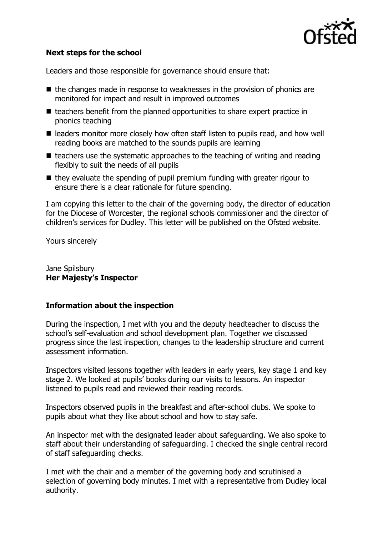

# **Next steps for the school**

Leaders and those responsible for governance should ensure that:

- $\blacksquare$  the changes made in response to weaknesses in the provision of phonics are monitored for impact and result in improved outcomes
- $\blacksquare$  teachers benefit from the planned opportunities to share expert practice in phonics teaching
- leaders monitor more closely how often staff listen to pupils read, and how well reading books are matched to the sounds pupils are learning
- $\blacksquare$  teachers use the systematic approaches to the teaching of writing and reading flexibly to suit the needs of all pupils
- $\blacksquare$  they evaluate the spending of pupil premium funding with greater rigour to ensure there is a clear rationale for future spending.

I am copying this letter to the chair of the governing body, the director of education for the Diocese of Worcester, the regional schools commissioner and the director of children's services for Dudley. This letter will be published on the Ofsted website.

Yours sincerely

Jane Spilsbury **Her Majesty's Inspector**

### **Information about the inspection**

During the inspection, I met with you and the deputy headteacher to discuss the school's self-evaluation and school development plan. Together we discussed progress since the last inspection, changes to the leadership structure and current assessment information.

Inspectors visited lessons together with leaders in early years, key stage 1 and key stage 2. We looked at pupils' books during our visits to lessons. An inspector listened to pupils read and reviewed their reading records.

Inspectors observed pupils in the breakfast and after-school clubs. We spoke to pupils about what they like about school and how to stay safe.

An inspector met with the designated leader about safeguarding. We also spoke to staff about their understanding of safeguarding. I checked the single central record of staff safeguarding checks.

I met with the chair and a member of the governing body and scrutinised a selection of governing body minutes. I met with a representative from Dudley local authority.